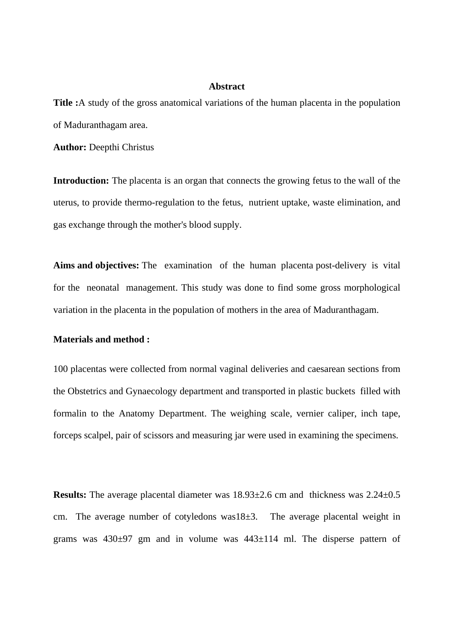## **Abstract**

**Title :**A study of the gross anatomical variations of the human placenta in the population of Maduranthagam area.

**Author:** Deepthi Christus

**Introduction:** The placenta is an organ that connects the growing fetus to the wall of the uterus, to provide thermo-regulation to the fetus, nutrient uptake, waste elimination, and gas exchange through the mother's blood supply.

**Aims and objectives:** The examination of the human placenta post-delivery is vital for the neonatal management. This study was done to find some gross morphological variation in the placenta in the population of mothers in the area of Maduranthagam.

## **Materials and method :**

100 placentas were collected from normal vaginal deliveries and caesarean sections from the Obstetrics and Gynaecology department and transported in plastic buckets filled with formalin to the Anatomy Department. The weighing scale, vernier caliper, inch tape, forceps scalpel, pair of scissors and measuring jar were used in examining the specimens.

**Results:** The average placental diameter was  $18.93 \pm 2.6$  cm and thickness was  $2.24 \pm 0.5$ cm. The average number of cotyledons was18±3. The average placental weight in grams was  $430\pm97$  gm and in volume was  $443\pm114$  ml. The disperse pattern of